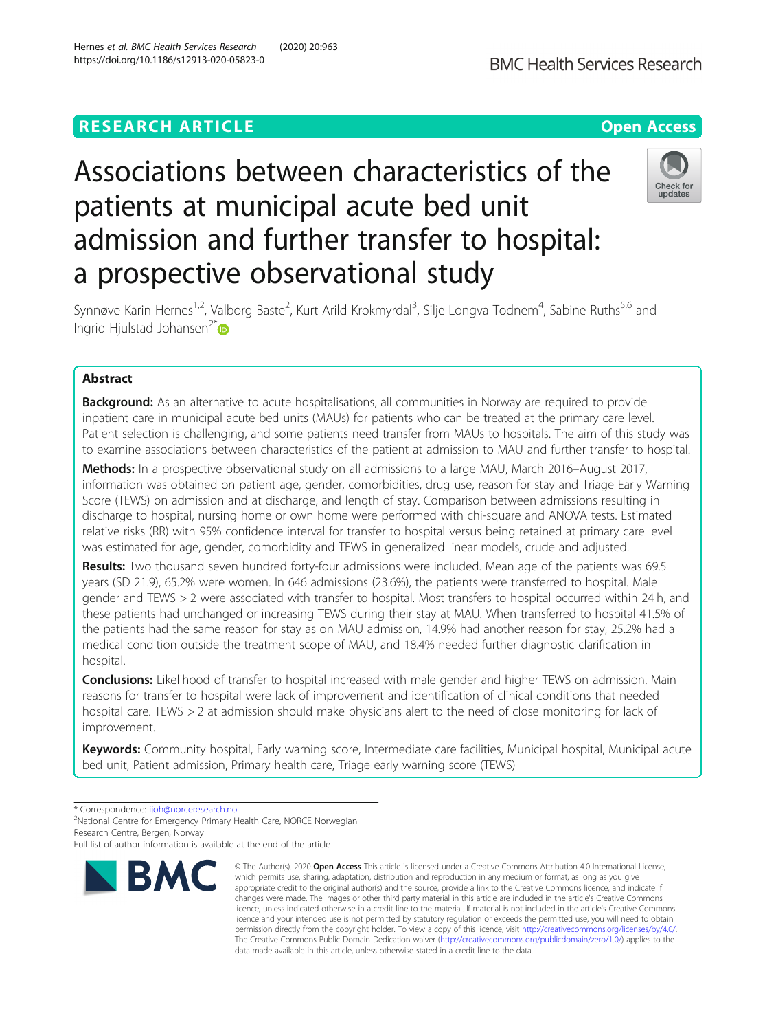## **RESEARCH ARTICLE Example 2018 12:30 THE Open Access**

# Associations between characteristics of the patients at municipal acute bed unit admission and further transfer to hospital: a prospective observational study



Synnøve Karin Hernes<sup>1,2</sup>, Valborg Baste<sup>2</sup>, Kurt Arild Krokmyrdal<sup>3</sup>, Silje Longva Todnem<sup>4</sup>, Sabine Ruths<sup>5,6</sup> and Ingrid Hjulstad Johansen<sup>2\*</sup>

## Abstract

**Background:** As an alternative to acute hospitalisations, all communities in Norway are required to provide inpatient care in municipal acute bed units (MAUs) for patients who can be treated at the primary care level. Patient selection is challenging, and some patients need transfer from MAUs to hospitals. The aim of this study was to examine associations between characteristics of the patient at admission to MAU and further transfer to hospital.

Methods: In a prospective observational study on all admissions to a large MAU, March 2016–August 2017, information was obtained on patient age, gender, comorbidities, drug use, reason for stay and Triage Early Warning Score (TEWS) on admission and at discharge, and length of stay. Comparison between admissions resulting in discharge to hospital, nursing home or own home were performed with chi-square and ANOVA tests. Estimated relative risks (RR) with 95% confidence interval for transfer to hospital versus being retained at primary care level was estimated for age, gender, comorbidity and TEWS in generalized linear models, crude and adjusted.

Results: Two thousand seven hundred forty-four admissions were included. Mean age of the patients was 69.5 years (SD 21.9), 65.2% were women. In 646 admissions (23.6%), the patients were transferred to hospital. Male gender and TEWS > 2 were associated with transfer to hospital. Most transfers to hospital occurred within 24 h, and these patients had unchanged or increasing TEWS during their stay at MAU. When transferred to hospital 41.5% of the patients had the same reason for stay as on MAU admission, 14.9% had another reason for stay, 25.2% had a medical condition outside the treatment scope of MAU, and 18.4% needed further diagnostic clarification in hospital.

**Conclusions:** Likelihood of transfer to hospital increased with male gender and higher TEWS on admission. Main reasons for transfer to hospital were lack of improvement and identification of clinical conditions that needed hospital care. TEWS > 2 at admission should make physicians alert to the need of close monitoring for lack of improvement.

Keywords: Community hospital, Early warning score, Intermediate care facilities, Municipal hospital, Municipal acute bed unit, Patient admission, Primary health care, Triage early warning score (TEWS)

\* Correspondence: [ijoh@norceresearch.no](mailto:ijoh@norceresearch.no) <sup>2</sup>

<sup>2</sup>National Centre for Emergency Primary Health Care, NORCE Norwegian Research Centre, Bergen, Norway

Full list of author information is available at the end of the article



<sup>©</sup> The Author(s), 2020 **Open Access** This article is licensed under a Creative Commons Attribution 4.0 International License, which permits use, sharing, adaptation, distribution and reproduction in any medium or format, as long as you give appropriate credit to the original author(s) and the source, provide a link to the Creative Commons licence, and indicate if changes were made. The images or other third party material in this article are included in the article's Creative Commons licence, unless indicated otherwise in a credit line to the material. If material is not included in the article's Creative Commons licence and your intended use is not permitted by statutory regulation or exceeds the permitted use, you will need to obtain permission directly from the copyright holder. To view a copy of this licence, visit [http://creativecommons.org/licenses/by/4.0/.](http://creativecommons.org/licenses/by/4.0/) The Creative Commons Public Domain Dedication waiver [\(http://creativecommons.org/publicdomain/zero/1.0/](http://creativecommons.org/publicdomain/zero/1.0/)) applies to the data made available in this article, unless otherwise stated in a credit line to the data.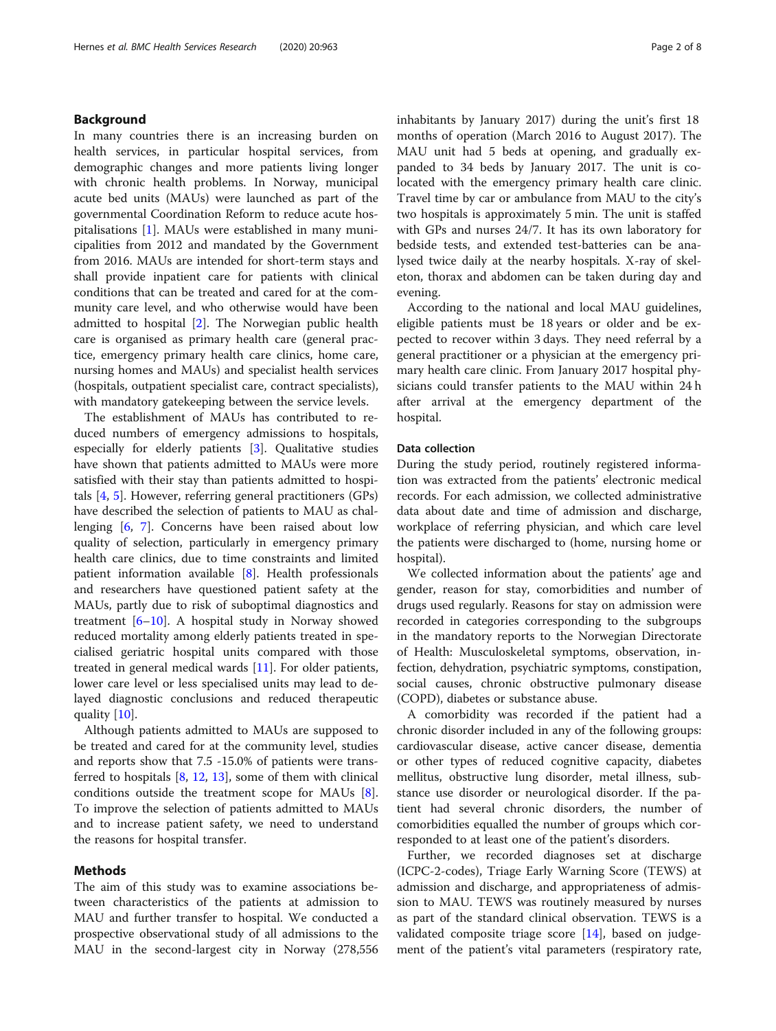## Background

In many countries there is an increasing burden on health services, in particular hospital services, from demographic changes and more patients living longer with chronic health problems. In Norway, municipal acute bed units (MAUs) were launched as part of the governmental Coordination Reform to reduce acute hospitalisations [\[1](#page-7-0)]. MAUs were established in many municipalities from 2012 and mandated by the Government from 2016. MAUs are intended for short-term stays and shall provide inpatient care for patients with clinical conditions that can be treated and cared for at the community care level, and who otherwise would have been admitted to hospital [[2](#page-7-0)]. The Norwegian public health care is organised as primary health care (general practice, emergency primary health care clinics, home care, nursing homes and MAUs) and specialist health services (hospitals, outpatient specialist care, contract specialists), with mandatory gatekeeping between the service levels.

The establishment of MAUs has contributed to reduced numbers of emergency admissions to hospitals, especially for elderly patients [[3\]](#page-7-0). Qualitative studies have shown that patients admitted to MAUs were more satisfied with their stay than patients admitted to hospitals [[4,](#page-7-0) [5\]](#page-7-0). However, referring general practitioners (GPs) have described the selection of patients to MAU as challenging [\[6](#page-7-0), [7\]](#page-7-0). Concerns have been raised about low quality of selection, particularly in emergency primary health care clinics, due to time constraints and limited patient information available [[8\]](#page-7-0). Health professionals and researchers have questioned patient safety at the MAUs, partly due to risk of suboptimal diagnostics and treatment  $[6–10]$  $[6–10]$  $[6–10]$  $[6–10]$  $[6–10]$ . A hospital study in Norway showed reduced mortality among elderly patients treated in specialised geriatric hospital units compared with those treated in general medical wards [[11\]](#page-7-0). For older patients, lower care level or less specialised units may lead to delayed diagnostic conclusions and reduced therapeutic quality [\[10](#page-7-0)].

Although patients admitted to MAUs are supposed to be treated and cared for at the community level, studies and reports show that 7.5 -15.0% of patients were transferred to hospitals  $[8, 12, 13]$  $[8, 12, 13]$  $[8, 12, 13]$  $[8, 12, 13]$  $[8, 12, 13]$  $[8, 12, 13]$ , some of them with clinical conditions outside the treatment scope for MAUs [\[8](#page-7-0)]. To improve the selection of patients admitted to MAUs and to increase patient safety, we need to understand the reasons for hospital transfer.

#### Methods

The aim of this study was to examine associations between characteristics of the patients at admission to MAU and further transfer to hospital. We conducted a prospective observational study of all admissions to the MAU in the second-largest city in Norway (278,556 inhabitants by January 2017) during the unit's first 18 months of operation (March 2016 to August 2017). The MAU unit had 5 beds at opening, and gradually expanded to 34 beds by January 2017. The unit is colocated with the emergency primary health care clinic. Travel time by car or ambulance from MAU to the city's two hospitals is approximately 5 min. The unit is staffed with GPs and nurses 24/7. It has its own laboratory for bedside tests, and extended test-batteries can be analysed twice daily at the nearby hospitals. X-ray of skeleton, thorax and abdomen can be taken during day and evening.

According to the national and local MAU guidelines, eligible patients must be 18 years or older and be expected to recover within 3 days. They need referral by a general practitioner or a physician at the emergency primary health care clinic. From January 2017 hospital physicians could transfer patients to the MAU within 24 h after arrival at the emergency department of the hospital.

#### Data collection

During the study period, routinely registered information was extracted from the patients' electronic medical records. For each admission, we collected administrative data about date and time of admission and discharge, workplace of referring physician, and which care level the patients were discharged to (home, nursing home or hospital).

We collected information about the patients' age and gender, reason for stay, comorbidities and number of drugs used regularly. Reasons for stay on admission were recorded in categories corresponding to the subgroups in the mandatory reports to the Norwegian Directorate of Health: Musculoskeletal symptoms, observation, infection, dehydration, psychiatric symptoms, constipation, social causes, chronic obstructive pulmonary disease (COPD), diabetes or substance abuse.

A comorbidity was recorded if the patient had a chronic disorder included in any of the following groups: cardiovascular disease, active cancer disease, dementia or other types of reduced cognitive capacity, diabetes mellitus, obstructive lung disorder, metal illness, substance use disorder or neurological disorder. If the patient had several chronic disorders, the number of comorbidities equalled the number of groups which corresponded to at least one of the patient's disorders.

Further, we recorded diagnoses set at discharge (ICPC-2-codes), Triage Early Warning Score (TEWS) at admission and discharge, and appropriateness of admission to MAU. TEWS was routinely measured by nurses as part of the standard clinical observation. TEWS is a validated composite triage score [[14\]](#page-7-0), based on judgement of the patient's vital parameters (respiratory rate,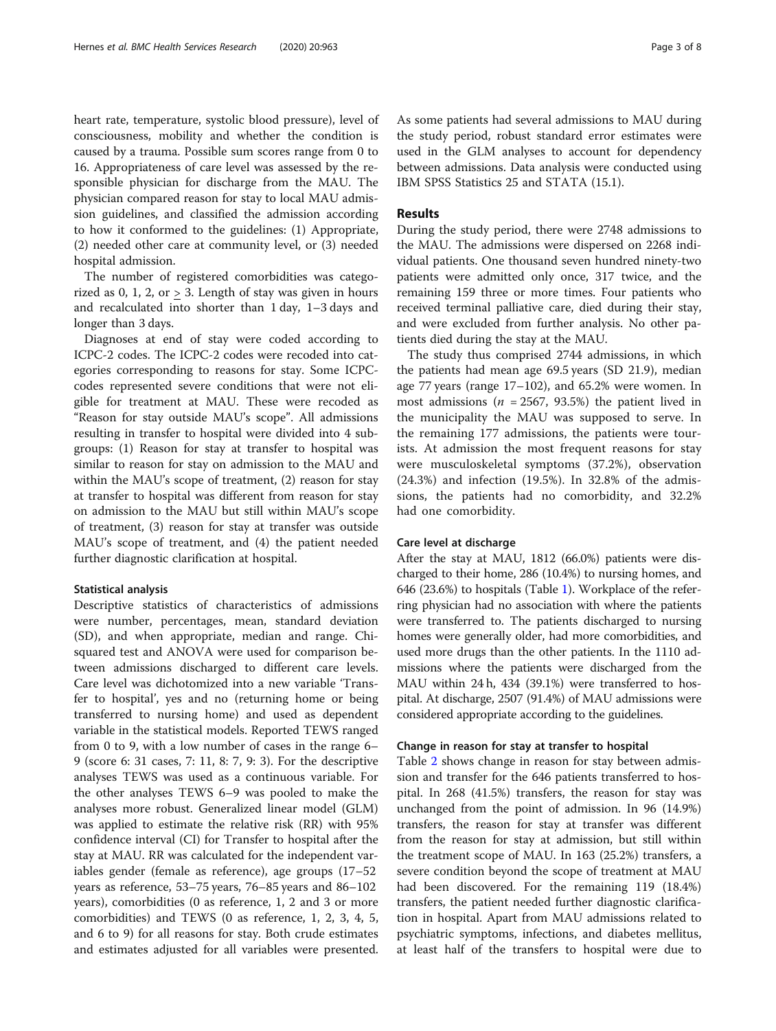heart rate, temperature, systolic blood pressure), level of consciousness, mobility and whether the condition is caused by a trauma. Possible sum scores range from 0 to 16. Appropriateness of care level was assessed by the responsible physician for discharge from the MAU. The physician compared reason for stay to local MAU admission guidelines, and classified the admission according to how it conformed to the guidelines: (1) Appropriate, (2) needed other care at community level, or (3) needed hospital admission.

The number of registered comorbidities was categorized as  $0, 1, 2,$  or  $> 3$ . Length of stay was given in hours and recalculated into shorter than 1 day, 1–3 days and longer than 3 days.

Diagnoses at end of stay were coded according to ICPC-2 codes. The ICPC-2 codes were recoded into categories corresponding to reasons for stay. Some ICPCcodes represented severe conditions that were not eligible for treatment at MAU. These were recoded as "Reason for stay outside MAU's scope". All admissions resulting in transfer to hospital were divided into 4 subgroups: (1) Reason for stay at transfer to hospital was similar to reason for stay on admission to the MAU and within the MAU's scope of treatment, (2) reason for stay at transfer to hospital was different from reason for stay on admission to the MAU but still within MAU's scope of treatment, (3) reason for stay at transfer was outside MAU's scope of treatment, and (4) the patient needed further diagnostic clarification at hospital.

#### Statistical analysis

Descriptive statistics of characteristics of admissions were number, percentages, mean, standard deviation (SD), and when appropriate, median and range. Chisquared test and ANOVA were used for comparison between admissions discharged to different care levels. Care level was dichotomized into a new variable 'Transfer to hospital', yes and no (returning home or being transferred to nursing home) and used as dependent variable in the statistical models. Reported TEWS ranged from 0 to 9, with a low number of cases in the range 6– 9 (score 6: 31 cases, 7: 11, 8: 7, 9: 3). For the descriptive analyses TEWS was used as a continuous variable. For the other analyses TEWS 6–9 was pooled to make the analyses more robust. Generalized linear model (GLM) was applied to estimate the relative risk (RR) with 95% confidence interval (CI) for Transfer to hospital after the stay at MAU. RR was calculated for the independent variables gender (female as reference), age groups (17–52 years as reference, 53–75 years, 76–85 years and 86–102 years), comorbidities (0 as reference, 1, 2 and 3 or more comorbidities) and TEWS (0 as reference, 1, 2, 3, 4, 5, and 6 to 9) for all reasons for stay. Both crude estimates and estimates adjusted for all variables were presented. As some patients had several admissions to MAU during the study period, robust standard error estimates were used in the GLM analyses to account for dependency between admissions. Data analysis were conducted using IBM SPSS Statistics 25 and STATA (15.1).

## Results

During the study period, there were 2748 admissions to the MAU. The admissions were dispersed on 2268 individual patients. One thousand seven hundred ninety-two patients were admitted only once, 317 twice, and the remaining 159 three or more times. Four patients who received terminal palliative care, died during their stay, and were excluded from further analysis. No other patients died during the stay at the MAU.

The study thus comprised 2744 admissions, in which the patients had mean age 69.5 years (SD 21.9), median age 77 years (range 17–102), and 65.2% were women. In most admissions ( $n = 2567, 93.5%$ ) the patient lived in the municipality the MAU was supposed to serve. In the remaining 177 admissions, the patients were tourists. At admission the most frequent reasons for stay were musculoskeletal symptoms (37.2%), observation (24.3%) and infection (19.5%). In 32.8% of the admissions, the patients had no comorbidity, and 32.2% had one comorbidity.

#### Care level at discharge

After the stay at MAU, 1812 (66.0%) patients were discharged to their home, 286 (10.4%) to nursing homes, and 646 (23.6%) to hospitals (Table [1](#page-3-0)). Workplace of the referring physician had no association with where the patients were transferred to. The patients discharged to nursing homes were generally older, had more comorbidities, and used more drugs than the other patients. In the 1110 admissions where the patients were discharged from the MAU within 24 h, 434 (39.1%) were transferred to hospital. At discharge, 2507 (91.4%) of MAU admissions were considered appropriate according to the guidelines.

## Change in reason for stay at transfer to hospital

Table [2](#page-4-0) shows change in reason for stay between admission and transfer for the 646 patients transferred to hospital. In 268 (41.5%) transfers, the reason for stay was unchanged from the point of admission. In 96 (14.9%) transfers, the reason for stay at transfer was different from the reason for stay at admission, but still within the treatment scope of MAU. In 163 (25.2%) transfers, a severe condition beyond the scope of treatment at MAU had been discovered. For the remaining 119 (18.4%) transfers, the patient needed further diagnostic clarification in hospital. Apart from MAU admissions related to psychiatric symptoms, infections, and diabetes mellitus, at least half of the transfers to hospital were due to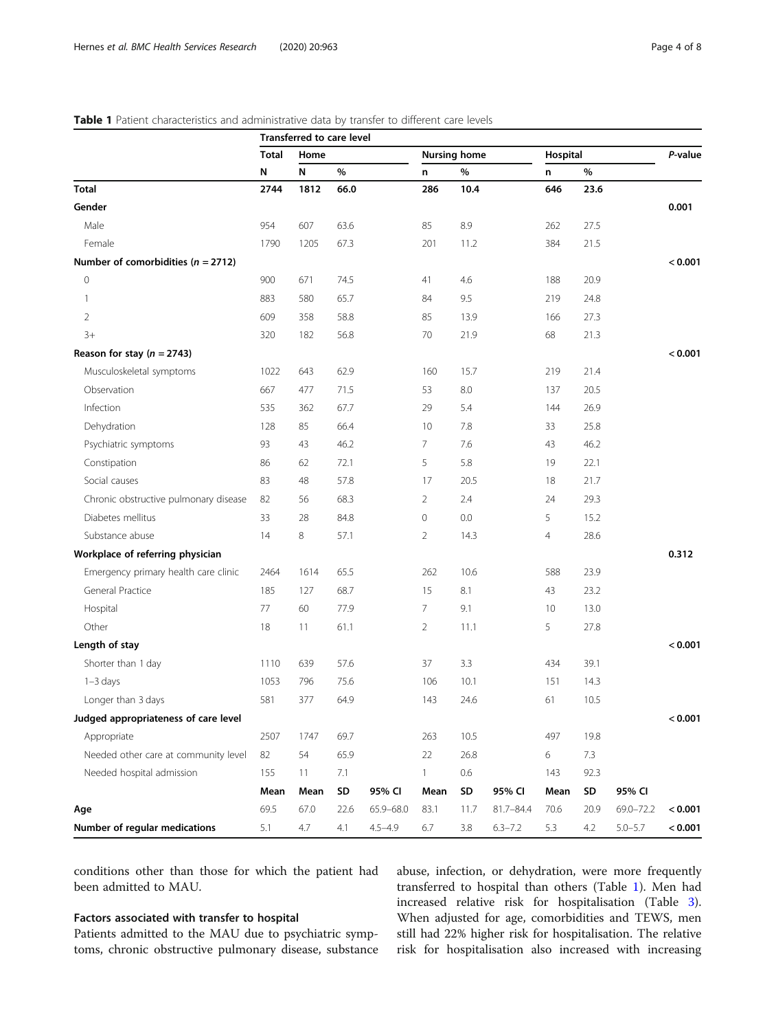## <span id="page-3-0"></span>Table 1 Patient characteristics and administrative data by transfer to different care levels

|                                        | <b>Transferred to care level</b> |      |      |             |                     |      |             |          |      |             |         |
|----------------------------------------|----------------------------------|------|------|-------------|---------------------|------|-------------|----------|------|-------------|---------|
|                                        | <b>Total</b>                     | Home |      |             | <b>Nursing home</b> |      |             | Hospital |      |             | P-value |
|                                        | N                                | N    | $\%$ |             | n                   | $\%$ |             | n        | %    |             |         |
| <b>Total</b>                           | 2744                             | 1812 | 66.0 |             | 286                 | 10.4 |             | 646      | 23.6 |             |         |
| Gender                                 |                                  |      |      |             |                     |      |             |          |      |             | 0.001   |
| Male                                   | 954                              | 607  | 63.6 |             | 85                  | 8.9  |             | 262      | 27.5 |             |         |
| Female                                 | 1790                             | 1205 | 67.3 |             | 201                 | 11.2 |             | 384      | 21.5 |             |         |
| Number of comorbidities ( $n = 2712$ ) |                                  |      |      |             |                     |      |             |          |      |             | < 0.001 |
| $\mathbf 0$                            | 900                              | 671  | 74.5 |             | 41                  | 4.6  |             | 188      | 20.9 |             |         |
| -1                                     | 883                              | 580  | 65.7 |             | 84                  | 9.5  |             | 219      | 24.8 |             |         |
| $\overline{2}$                         | 609                              | 358  | 58.8 |             | 85                  | 13.9 |             | 166      | 27.3 |             |         |
| $3+$                                   | 320                              | 182  | 56.8 |             | 70                  | 21.9 |             | 68       | 21.3 |             |         |
| Reason for stay ( $n = 2743$ )         |                                  |      |      |             |                     |      |             |          |      |             | < 0.001 |
| Musculoskeletal symptoms               | 1022                             | 643  | 62.9 |             | 160                 | 15.7 |             | 219      | 21.4 |             |         |
| Observation                            | 667                              | 477  | 71.5 |             | 53                  | 8.0  |             | 137      | 20.5 |             |         |
| Infection                              | 535                              | 362  | 67.7 |             | 29                  | 5.4  |             | 144      | 26.9 |             |         |
| Dehydration                            | 128                              | 85   | 66.4 |             | 10                  | 7.8  |             | 33       | 25.8 |             |         |
| Psychiatric symptoms                   | 93                               | 43   | 46.2 |             | 7                   | 7.6  |             | 43       | 46.2 |             |         |
| Constipation                           | 86                               | 62   | 72.1 |             | 5                   | 5.8  |             | 19       | 22.1 |             |         |
| Social causes                          | 83                               | 48   | 57.8 |             | 17                  | 20.5 |             | 18       | 21.7 |             |         |
| Chronic obstructive pulmonary disease  | 82                               | 56   | 68.3 |             | 2                   | 2.4  |             | 24       | 29.3 |             |         |
| Diabetes mellitus                      | 33                               | 28   | 84.8 |             | 0                   | 0.0  |             | 5        | 15.2 |             |         |
| Substance abuse                        | 14                               | 8    | 57.1 |             | 2                   | 14.3 |             | 4        | 28.6 |             |         |
| Workplace of referring physician       |                                  |      |      |             |                     |      |             |          |      |             | 0.312   |
| Emergency primary health care clinic   | 2464                             | 1614 | 65.5 |             | 262                 | 10.6 |             | 588      | 23.9 |             |         |
| General Practice                       | 185                              | 127  | 68.7 |             | 15                  | 8.1  |             | 43       | 23.2 |             |         |
| Hospital                               | 77                               | 60   | 77.9 |             | 7                   | 9.1  |             | 10       | 13.0 |             |         |
| Other                                  | 18                               | 11   | 61.1 |             | 2                   | 11.1 |             | 5        | 27.8 |             |         |
| Length of stay                         |                                  |      |      |             |                     |      |             |          |      |             | < 0.001 |
| Shorter than 1 day                     | 1110                             | 639  | 57.6 |             | 37                  | 3.3  |             | 434      | 39.1 |             |         |
| $1 - 3$ days                           | 1053                             | 796  | 75.6 |             | 106                 | 10.1 |             | 151      | 14.3 |             |         |
| Longer than 3 days                     | 581                              | 377  | 64.9 |             | 143                 | 24.6 |             | 61       | 10.5 |             |         |
| Judged appropriateness of care level   |                                  |      |      |             |                     |      |             |          |      |             | < 0.001 |
| Appropriate                            | 2507                             | 1747 | 69.7 |             | 263                 | 10.5 |             | 497      | 19.8 |             |         |
| Needed other care at community level   | 82                               | 54   | 65.9 |             | 22                  | 26.8 |             | 6        | 7.3  |             |         |
| Needed hospital admission              | 155                              | 11   | 7.1  |             | 1.                  | 0.6  |             | 143      | 92.3 |             |         |
|                                        | Mean                             | Mean | SD   | 95% CI      | Mean                | SD   | 95% CI      | Mean     | SD   | 95% CI      |         |
| Age                                    | 69.5                             | 67.0 | 22.6 | 65.9-68.0   | 83.1                | 11.7 | 81.7-84.4   | 70.6     | 20.9 | 69.0-72.2   | < 0.001 |
| Number of regular medications          | 5.1                              | 4.7  | 4.1  | $4.5 - 4.9$ | 6.7                 | 3.8  | $6.3 - 7.2$ | 5.3      | 4.2  | $5.0 - 5.7$ | < 0.001 |

conditions other than those for which the patient had been admitted to MAU.

## Factors associated with transfer to hospital

Patients admitted to the MAU due to psychiatric symptoms, chronic obstructive pulmonary disease, substance abuse, infection, or dehydration, were more frequently transferred to hospital than others (Table 1). Men had increased relative risk for hospitalisation (Table [3](#page-4-0)). When adjusted for age, comorbidities and TEWS, men still had 22% higher risk for hospitalisation. The relative risk for hospitalisation also increased with increasing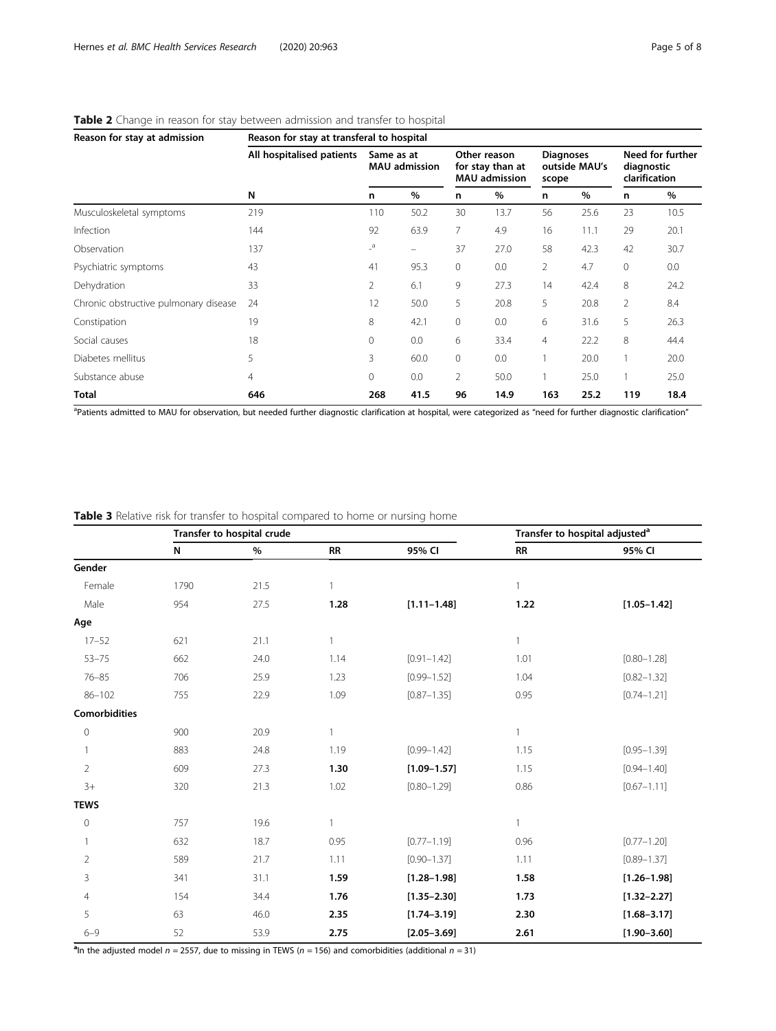| Reason for stay at admission          | Reason for stay at transferal to hospital |                                    |                          |                                                          |      |                                            |      |                                                 |      |  |
|---------------------------------------|-------------------------------------------|------------------------------------|--------------------------|----------------------------------------------------------|------|--------------------------------------------|------|-------------------------------------------------|------|--|
|                                       | All hospitalised patients                 | Same as at<br><b>MAU</b> admission |                          | Other reason<br>for stay than at<br><b>MAU</b> admission |      | <b>Diagnoses</b><br>outside MAU's<br>scope |      | Need for further<br>diagnostic<br>clarification |      |  |
|                                       | N                                         | n                                  | $\%$                     | n                                                        | %    | n                                          | %    | n                                               | %    |  |
| Musculoskeletal symptoms              | 219                                       | 110                                | 50.2                     | 30                                                       | 13.7 | 56                                         | 25.6 | 23                                              | 10.5 |  |
| Infection                             | 144                                       | 92                                 | 63.9                     | $\overline{7}$                                           | 4.9  | 16                                         | 11.1 | 29                                              | 20.1 |  |
| Observation                           | 137                                       | $\overline{\phantom{a}}^a$         | $\overline{\phantom{m}}$ | 37                                                       | 27.0 | 58                                         | 42.3 | 42                                              | 30.7 |  |
| Psychiatric symptoms                  | 43                                        | 41                                 | 95.3                     | $\circ$                                                  | 0.0  | 2                                          | 4.7  | $\mathbf{0}$                                    | 0.0  |  |
| Dehydration                           | 33                                        | 2                                  | 6.1                      | 9                                                        | 27.3 | 14                                         | 42.4 | 8                                               | 24.2 |  |
| Chronic obstructive pulmonary disease | 24                                        | 12                                 | 50.0                     | 5                                                        | 20.8 | 5                                          | 20.8 | $\overline{2}$                                  | 8.4  |  |
| Constipation                          | 19                                        | 8                                  | 42.1                     | $\mathbf{0}$                                             | 0.0  | 6                                          | 31.6 | 5                                               | 26.3 |  |
| Social causes                         | 18                                        | 0                                  | 0.0                      | 6                                                        | 33.4 | $\overline{4}$                             | 22.2 | 8                                               | 44.4 |  |
| Diabetes mellitus                     | 5                                         | 3                                  | 60.0                     | $\mathbf 0$                                              | 0.0  |                                            | 20.0 |                                                 | 20.0 |  |
| Substance abuse                       | 4                                         | 0                                  | 0.0                      | $\overline{2}$                                           | 50.0 |                                            | 25.0 |                                                 | 25.0 |  |
| <b>Total</b>                          | 646                                       | 268                                | 41.5                     | 96                                                       | 14.9 | 163                                        | 25.2 | 119                                             | 18.4 |  |

#### <span id="page-4-0"></span>Table 2 Change in reason for stay between admission and transfer to hospital

<sup>a</sup>Patients admitted to MAU for observation, but needed further diagnostic clarification at hospital, were categorized as "need for further diagnostic clarification"

Table 3 Relative risk for transfer to hospital compared to home or nursing home

|                |           | Transfer to hospital crude |              | Transfer to hospital adjusted <sup>a</sup> |              |                 |  |
|----------------|-----------|----------------------------|--------------|--------------------------------------------|--------------|-----------------|--|
|                | ${\sf N}$ | %                          | <b>RR</b>    | 95% CI                                     | <b>RR</b>    | 95% CI          |  |
| Gender         |           |                            |              |                                            |              |                 |  |
| Female         | 1790      | 21.5                       | $\mathbf{1}$ |                                            | $\mathbf{1}$ |                 |  |
| Male           | 954       | 27.5                       | 1.28         | $[1.11 - 1.48]$                            | 1.22         | $[1.05 - 1.42]$ |  |
| Age            |           |                            |              |                                            |              |                 |  |
| $17 - 52$      | 621       | 21.1                       |              |                                            | $\mathbf{1}$ |                 |  |
| $53 - 75$      | 662       | 24.0                       | 1.14         | $[0.91 - 1.42]$                            | 1.01         | $[0.80 - 1.28]$ |  |
| $76 - 85$      | 706       | 25.9                       | 1.23         | $[0.99 - 1.52]$                            | 1.04         | $[0.82 - 1.32]$ |  |
| $86 - 102$     | 755       | 22.9                       | 1.09         | $[0.87 - 1.35]$                            | 0.95         | $[0.74 - 1.21]$ |  |
| Comorbidities  |           |                            |              |                                            |              |                 |  |
| $\circ$        | 900       | 20.9                       | $\mathbf{1}$ |                                            | $\mathbf{1}$ |                 |  |
|                | 883       | 24.8                       | 1.19         | $[0.99 - 1.42]$                            | 1.15         | $[0.95 - 1.39]$ |  |
| $\overline{2}$ | 609       | 27.3                       | 1.30         | $[1.09 - 1.57]$                            | 1.15         | $[0.94 - 1.40]$ |  |
| $3+$           | 320       | 21.3                       | 1.02         | $[0.80 - 1.29]$                            | 0.86         | $[0.67 - 1.11]$ |  |
| <b>TEWS</b>    |           |                            |              |                                            |              |                 |  |
| $\circ$        | 757       | 19.6                       | $\mathbf{1}$ |                                            | $\mathbf{1}$ |                 |  |
|                | 632       | 18.7                       | 0.95         | $[0.77 - 1.19]$                            | 0.96         | $[0.77 - 1.20]$ |  |
| $\overline{2}$ | 589       | 21.7                       | 1.11         | $[0.90 - 1.37]$                            | 1.11         | $[0.89 - 1.37]$ |  |
| 3              | 341       | 31.1                       | 1.59         | $[1.28 - 1.98]$                            | 1.58         | $[1.26 - 1.98]$ |  |
| 4              | 154       | 34.4                       | 1.76         | $[1.35 - 2.30]$                            | 1.73         | $[1.32 - 2.27]$ |  |
| 5              | 63        | 46.0                       | 2.35         | $[1.74 - 3.19]$                            | 2.30         | $[1.68 - 3.17]$ |  |
| $6 - 9$        | 52        | 53.9                       | 2.75         | $[2.05 - 3.69]$                            | 2.61         | $[1.90 - 3.60]$ |  |

<sup>a</sup>In the adjusted model  $n = 2557$ , due to missing in TEWS ( $n = 156$ ) and comorbidities (additional  $n = 31$ )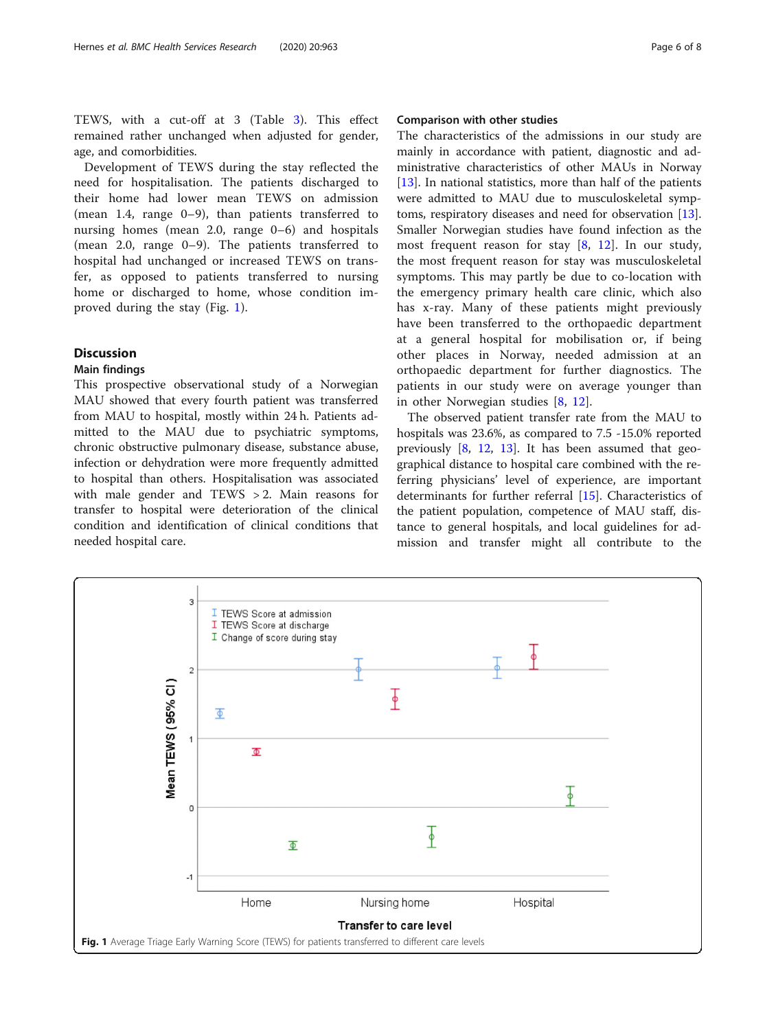TEWS, with a cut-off at 3 (Table [3](#page-4-0)). This effect remained rather unchanged when adjusted for gender, age, and comorbidities.

Development of TEWS during the stay reflected the need for hospitalisation. The patients discharged to their home had lower mean TEWS on admission (mean 1.4, range 0–9), than patients transferred to nursing homes (mean 2.0, range 0–6) and hospitals (mean 2.0, range 0–9). The patients transferred to hospital had unchanged or increased TEWS on transfer, as opposed to patients transferred to nursing home or discharged to home, whose condition improved during the stay (Fig. 1).

## **Discussion**

## Main findings

This prospective observational study of a Norwegian MAU showed that every fourth patient was transferred from MAU to hospital, mostly within 24 h. Patients admitted to the MAU due to psychiatric symptoms, chronic obstructive pulmonary disease, substance abuse, infection or dehydration were more frequently admitted to hospital than others. Hospitalisation was associated with male gender and TEWS > 2. Main reasons for transfer to hospital were deterioration of the clinical condition and identification of clinical conditions that needed hospital care.

## Comparison with other studies

The characteristics of the admissions in our study are mainly in accordance with patient, diagnostic and administrative characteristics of other MAUs in Norway [[13\]](#page-7-0). In national statistics, more than half of the patients were admitted to MAU due to musculoskeletal symptoms, respiratory diseases and need for observation [\[13](#page-7-0)]. Smaller Norwegian studies have found infection as the most frequent reason for stay  $[8, 12]$  $[8, 12]$  $[8, 12]$  $[8, 12]$ . In our study, the most frequent reason for stay was musculoskeletal symptoms. This may partly be due to co-location with the emergency primary health care clinic, which also has x-ray. Many of these patients might previously have been transferred to the orthopaedic department at a general hospital for mobilisation or, if being other places in Norway, needed admission at an orthopaedic department for further diagnostics. The patients in our study were on average younger than in other Norwegian studies [\[8](#page-7-0), [12](#page-7-0)].

The observed patient transfer rate from the MAU to hospitals was 23.6%, as compared to 7.5 -15.0% reported previously  $[8, 12, 13]$  $[8, 12, 13]$  $[8, 12, 13]$  $[8, 12, 13]$  $[8, 12, 13]$  $[8, 12, 13]$ . It has been assumed that geographical distance to hospital care combined with the referring physicians' level of experience, are important determinants for further referral [\[15](#page-7-0)]. Characteristics of the patient population, competence of MAU staff, distance to general hospitals, and local guidelines for admission and transfer might all contribute to the

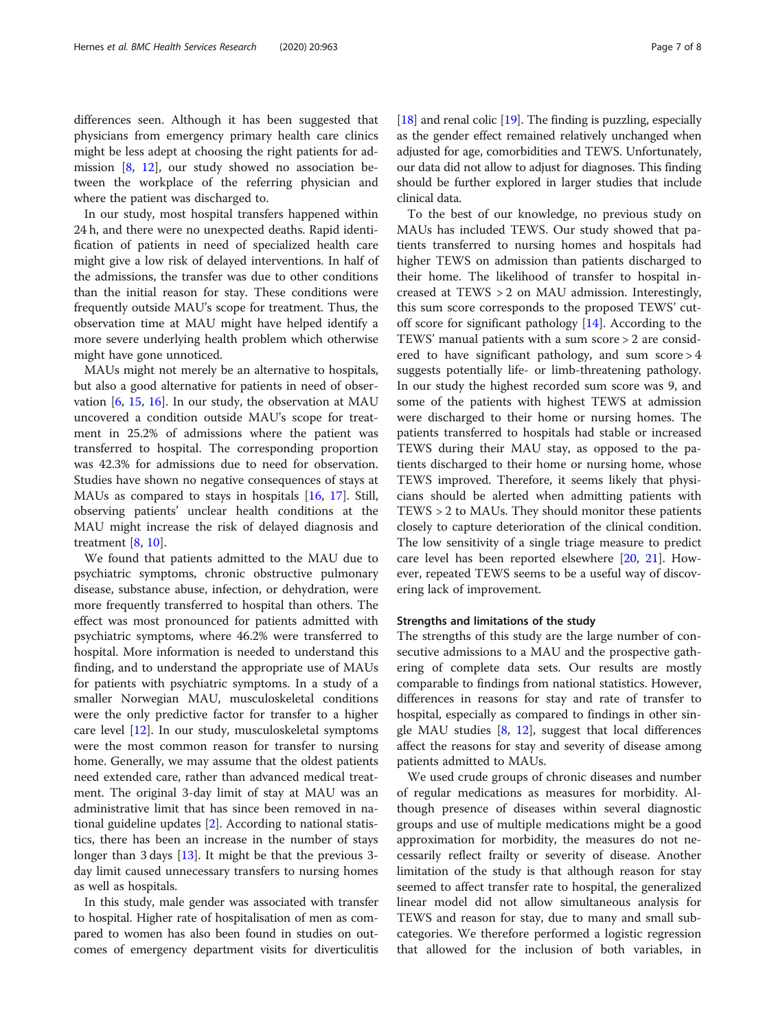differences seen. Although it has been suggested that physicians from emergency primary health care clinics might be less adept at choosing the right patients for admission [[8](#page-7-0), [12\]](#page-7-0), our study showed no association between the workplace of the referring physician and where the patient was discharged to.

In our study, most hospital transfers happened within 24 h, and there were no unexpected deaths. Rapid identification of patients in need of specialized health care might give a low risk of delayed interventions. In half of the admissions, the transfer was due to other conditions than the initial reason for stay. These conditions were frequently outside MAU's scope for treatment. Thus, the observation time at MAU might have helped identify a more severe underlying health problem which otherwise might have gone unnoticed.

MAUs might not merely be an alternative to hospitals, but also a good alternative for patients in need of observation [\[6](#page-7-0), [15,](#page-7-0) [16\]](#page-7-0). In our study, the observation at MAU uncovered a condition outside MAU's scope for treatment in 25.2% of admissions where the patient was transferred to hospital. The corresponding proportion was 42.3% for admissions due to need for observation. Studies have shown no negative consequences of stays at MAUs as compared to stays in hospitals [[16,](#page-7-0) [17\]](#page-7-0). Still, observing patients' unclear health conditions at the MAU might increase the risk of delayed diagnosis and treatment [[8,](#page-7-0) [10\]](#page-7-0).

We found that patients admitted to the MAU due to psychiatric symptoms, chronic obstructive pulmonary disease, substance abuse, infection, or dehydration, were more frequently transferred to hospital than others. The effect was most pronounced for patients admitted with psychiatric symptoms, where 46.2% were transferred to hospital. More information is needed to understand this finding, and to understand the appropriate use of MAUs for patients with psychiatric symptoms. In a study of a smaller Norwegian MAU, musculoskeletal conditions were the only predictive factor for transfer to a higher care level [[12\]](#page-7-0). In our study, musculoskeletal symptoms were the most common reason for transfer to nursing home. Generally, we may assume that the oldest patients need extended care, rather than advanced medical treatment. The original 3-day limit of stay at MAU was an administrative limit that has since been removed in national guideline updates [\[2](#page-7-0)]. According to national statistics, there has been an increase in the number of stays longer than 3 days [\[13\]](#page-7-0). It might be that the previous 3 day limit caused unnecessary transfers to nursing homes as well as hospitals.

In this study, male gender was associated with transfer to hospital. Higher rate of hospitalisation of men as compared to women has also been found in studies on outcomes of emergency department visits for diverticulitis

[[18](#page-7-0)] and renal colic [\[19\]](#page-7-0). The finding is puzzling, especially as the gender effect remained relatively unchanged when adjusted for age, comorbidities and TEWS. Unfortunately, our data did not allow to adjust for diagnoses. This finding should be further explored in larger studies that include clinical data.

To the best of our knowledge, no previous study on MAUs has included TEWS. Our study showed that patients transferred to nursing homes and hospitals had higher TEWS on admission than patients discharged to their home. The likelihood of transfer to hospital increased at TEWS > 2 on MAU admission. Interestingly, this sum score corresponds to the proposed TEWS' cutoff score for significant pathology [[14\]](#page-7-0). According to the TEWS' manual patients with a sum score > 2 are considered to have significant pathology, and sum score > 4 suggests potentially life- or limb-threatening pathology. In our study the highest recorded sum score was 9, and some of the patients with highest TEWS at admission were discharged to their home or nursing homes. The patients transferred to hospitals had stable or increased TEWS during their MAU stay, as opposed to the patients discharged to their home or nursing home, whose TEWS improved. Therefore, it seems likely that physicians should be alerted when admitting patients with TEWS > 2 to MAUs. They should monitor these patients closely to capture deterioration of the clinical condition. The low sensitivity of a single triage measure to predict care level has been reported elsewhere [[20,](#page-7-0) [21](#page-7-0)]. However, repeated TEWS seems to be a useful way of discovering lack of improvement.

#### Strengths and limitations of the study

The strengths of this study are the large number of consecutive admissions to a MAU and the prospective gathering of complete data sets. Our results are mostly comparable to findings from national statistics. However, differences in reasons for stay and rate of transfer to hospital, especially as compared to findings in other single MAU studies  $[8, 12]$  $[8, 12]$  $[8, 12]$  $[8, 12]$  $[8, 12]$ , suggest that local differences affect the reasons for stay and severity of disease among patients admitted to MAUs.

We used crude groups of chronic diseases and number of regular medications as measures for morbidity. Although presence of diseases within several diagnostic groups and use of multiple medications might be a good approximation for morbidity, the measures do not necessarily reflect frailty or severity of disease. Another limitation of the study is that although reason for stay seemed to affect transfer rate to hospital, the generalized linear model did not allow simultaneous analysis for TEWS and reason for stay, due to many and small subcategories. We therefore performed a logistic regression that allowed for the inclusion of both variables, in